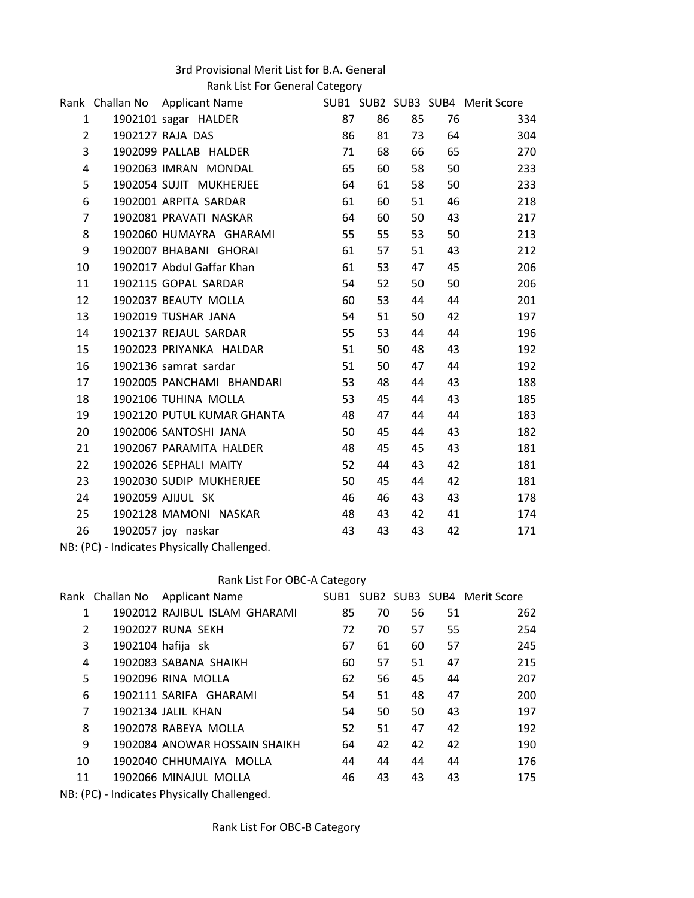## 3rd Provisional Merit List for B.A. General

Rank List For General Category

|                                             |  | Rank Challan No Applicant Name 5UB1 SUB1 SUB2 SUB3 SUB4 Merit Score |    |    |    |    |     |
|---------------------------------------------|--|---------------------------------------------------------------------|----|----|----|----|-----|
| $\mathbf{1}$                                |  | 1902101 sagar HALDER                                                | 87 | 86 | 85 | 76 | 334 |
| $\overline{2}$                              |  | 1902127 RAJA DAS                                                    | 86 | 81 | 73 | 64 | 304 |
| $\overline{3}$                              |  | 1902099 PALLAB HALDER                                               | 71 | 68 | 66 | 65 | 270 |
| 4                                           |  | 1902063 IMRAN MONDAL                                                | 65 | 60 | 58 | 50 | 233 |
| 5                                           |  | 1902054 SUJIT MUKHERJEE                                             | 64 | 61 | 58 | 50 | 233 |
| 6                                           |  | 1902001 ARPITA SARDAR                                               | 61 | 60 | 51 | 46 | 218 |
| $\overline{7}$                              |  | 1902081 PRAVATI NASKAR                                              | 64 | 60 | 50 | 43 | 217 |
| 8                                           |  | 1902060 HUMAYRA GHARAMI                                             | 55 | 55 | 53 | 50 | 213 |
| 9                                           |  | 1902007 BHABANI GHORAI                                              | 61 | 57 | 51 | 43 | 212 |
| 10                                          |  | 1902017 Abdul Gaffar Khan                                           | 61 | 53 | 47 | 45 | 206 |
| 11                                          |  | 1902115 GOPAL SARDAR                                                | 54 | 52 | 50 | 50 | 206 |
| 12                                          |  | 1902037 BEAUTY MOLLA                                                | 60 | 53 | 44 | 44 | 201 |
| 13                                          |  | 1902019 TUSHAR JANA                                                 | 54 | 51 | 50 | 42 | 197 |
| 14                                          |  | 1902137 REJAUL SARDAR                                               | 55 | 53 | 44 | 44 | 196 |
| 15                                          |  | 1902023 PRIYANKA HALDAR                                             | 51 | 50 | 48 | 43 | 192 |
| 16                                          |  | 1902136 samrat sardar                                               | 51 | 50 | 47 | 44 | 192 |
| 17                                          |  | 1902005 PANCHAMI BHANDARI                                           | 53 | 48 | 44 | 43 | 188 |
| 18                                          |  | 1902106 TUHINA MOLLA                                                | 53 | 45 | 44 | 43 | 185 |
| 19                                          |  | 1902120 PUTUL KUMAR GHANTA                                          | 48 | 47 | 44 | 44 | 183 |
| 20                                          |  | 1902006 SANTOSHI JANA                                               | 50 | 45 | 44 | 43 | 182 |
| 21                                          |  | 1902067 PARAMITA HALDER                                             | 48 | 45 | 45 | 43 | 181 |
| 22                                          |  | 1902026 SEPHALI MAITY                                               | 52 | 44 | 43 | 42 | 181 |
| 23                                          |  | 1902030 SUDIP MUKHERJEE                                             | 50 | 45 | 44 | 42 | 181 |
| 24                                          |  | 1902059 AJIJUL SK                                                   | 46 | 46 | 43 | 43 | 178 |
| 25                                          |  | 1902128 MAMONI NASKAR                                               | 48 | 43 | 42 | 41 | 174 |
| 26                                          |  | 1902057 joy naskar                                                  | 43 | 43 | 43 | 42 | 171 |
| NB: (PC) - Indicates Physically Challenged. |  |                                                                     |    |    |    |    |     |

## Rank List For OBC-A Category

|                | Rank Challan No Applicant Name |    |    |    |    | SUB1 SUB2 SUB3 SUB4 Merit Score |
|----------------|--------------------------------|----|----|----|----|---------------------------------|
| 1              | 1902012 RAJIBUL ISLAM GHARAMI  | 85 | 70 | 56 | 51 | 262                             |
| $\overline{2}$ | 1902027 RUNA SEKH              | 72 | 70 | 57 | 55 | 254                             |
| 3              | 1902104 hafija sk              | 67 | 61 | 60 | 57 | 245                             |
| 4              | 1902083 SABANA SHAIKH          | 60 | 57 | 51 | 47 | 215                             |
| 5              | 1902096 RINA MOLLA             | 62 | 56 | 45 | 44 | 207                             |
| 6              | 1902111 SARIFA GHARAMI         | 54 | 51 | 48 | 47 | 200                             |
| 7              | 1902134 JALIL KHAN             | 54 | 50 | 50 | 43 | 197                             |
| 8              | 1902078 RABEYA MOLLA           | 52 | 51 | 47 | 42 | 192                             |
| 9              | 1902084 ANOWAR HOSSAIN SHAIKH  | 64 | 42 | 42 | 42 | 190                             |
| 10             | 1902040 CHHUMAIYA MOLLA        | 44 | 44 | 44 | 44 | 176                             |
| 11             | 1902066 MINAJUL MOLLA          | 46 | 43 | 43 | 43 | 175                             |
|                |                                |    |    |    |    |                                 |

NB: (PC) - Indicates Physically Challenged.